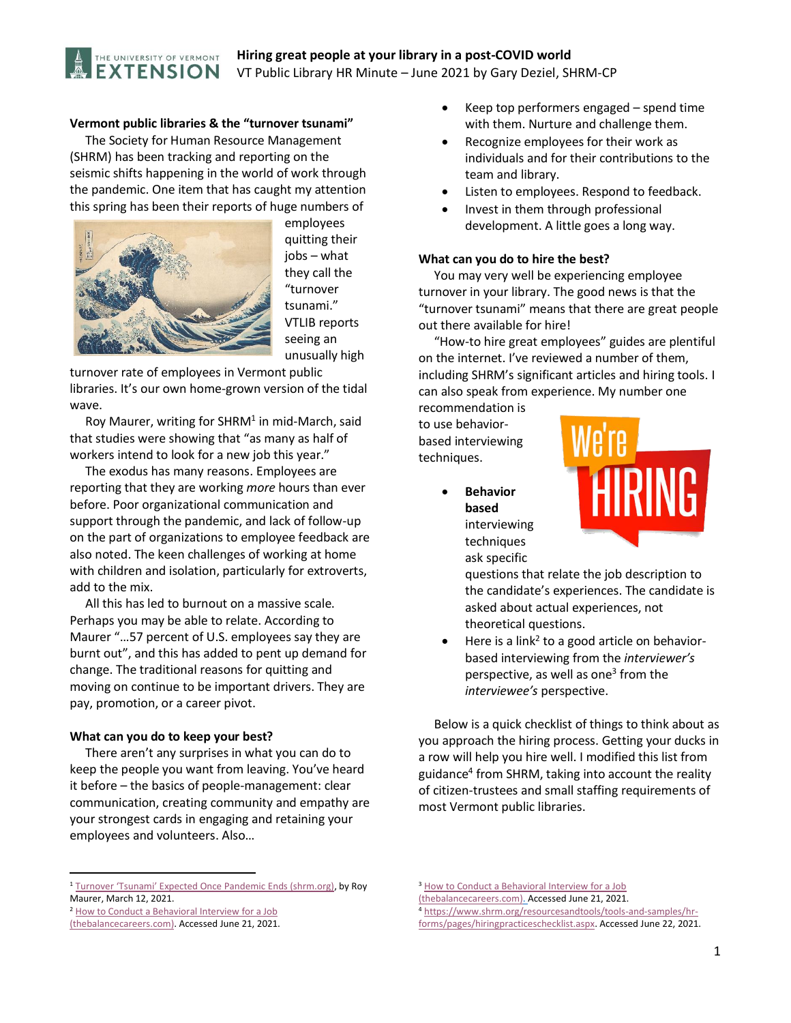

# **Hiring great people at your library in a post-COVID world** VT Public Library HR Minute – June 2021 by Gary Deziel, SHRM-CP

### **Vermont public libraries & the "turnover tsunami"**

 The Society for Human Resource Management (SHRM) has been tracking and reporting on the seismic shifts happening in the world of work through the pandemic. One item that has caught my attention this spring has been their reports of huge numbers of



employees quitting their jobs – what they call the "turnover tsunami." VTLIB reports seeing an unusually high

turnover rate of employees in Vermont public libraries. It's our own home-grown version of the tidal wave.

Roy Maurer, writing for SHRM<sup>1</sup> in mid-March, said that studies were showing that "as many as half of workers intend to look for a new job this year."

 The exodus has many reasons. Employees are reporting that they are working *more* hours than ever before. Poor organizational communication and support through the pandemic, and lack of follow-up on the part of organizations to employee feedback are also noted. The keen challenges of working at home with children and isolation, particularly for extroverts, add to the mix.

 All this has led to burnout on a massive scale. Perhaps you may be able to relate. According to Maurer "…57 percent of U.S. employees say they are burnt out", and this has added to pent up demand for change. The traditional reasons for quitting and moving on continue to be important drivers. They are pay, promotion, or a career pivot.

#### **What can you do to keep your best?**

 There aren't any surprises in what you can do to keep the people you want from leaving. You've heard it before – the basics of people-management: clear communication, creating community and empathy are your strongest cards in engaging and retaining your employees and volunteers. Also…

- Keep top performers engaged spend time with them. Nurture and challenge them.
- Recognize employees for their work as individuals and for their contributions to the team and library.
- Listen to employees. Respond to feedback.
- Invest in them through professional development. A little goes a long way.

#### **What can you do to hire the best?**

 You may very well be experiencing employee turnover in your library. The good news is that the "turnover tsunami" means that there are great people out there available for hire!

 "How-to hire great employees" guides are plentiful on the internet. I've reviewed a number of them, including SHRM's significant articles and hiring tools. I can also speak from experience. My number one

recommendation is to use behaviorbased interviewing techniques.

> **Behavior based** interviewing techniques ask specific



questions that relate the job description to the candidate's experiences. The candidate is asked about actual experiences, not theoretical questions.

 $\bullet$  Here is a link<sup>2</sup> to a good article on behaviorbased interviewing from the *interviewer's* perspective, as well as one<sup>3</sup> from the *interviewee's* perspective.

 Below is a quick checklist of things to think about as you approach the hiring process. Getting your ducks in a row will help you hire well. I modified this list from guidance<sup>4</sup> from SHRM, taking into account the reality of citizen-trustees and small staffing requirements of most Vermont public libraries.

 $\overline{a}$ 

<sup>4</sup> [https://www.shrm.org/resourcesandtools/tools-and-samples/hr](https://www.shrm.org/resourcesandtools/tools-and-samples/hr-forms/pages/hiringpracticeschecklist.aspx)[forms/pages/hiringpracticeschecklist.aspx.](https://www.shrm.org/resourcesandtools/tools-and-samples/hr-forms/pages/hiringpracticeschecklist.aspx) Accessed June 22, 2021.

<sup>&</sup>lt;sup>1</sup> [Turnover 'Tsunami' Expected Once Pandemic Ends \(shrm.org\)](https://www.shrm.org/resourcesandtools/hr-topics/talent-acquisition/pages/turnover-tsunami-expected-once-pandemic-ends.aspx), by Roy Maurer, March 12, 2021.

<sup>2</sup> [How to Conduct a Behavioral Interview for a Job](https://www.thebalancecareers.com/use-a-behavioral-interview-to-select-the-best-employees-1918485) 

[<sup>\(</sup>thebalancecareers.com\).](https://www.thebalancecareers.com/use-a-behavioral-interview-to-select-the-best-employees-1918485) Accessed June 21, 2021.

<sup>&</sup>lt;sup>3</sup> How to Conduct a Behavioral Interview for a Job

[<sup>\(</sup>thebalancecareers.com\).](https://www.thebalancecareers.com/use-a-behavioral-interview-to-select-the-best-employees-1918485) Accessed June 21, 2021.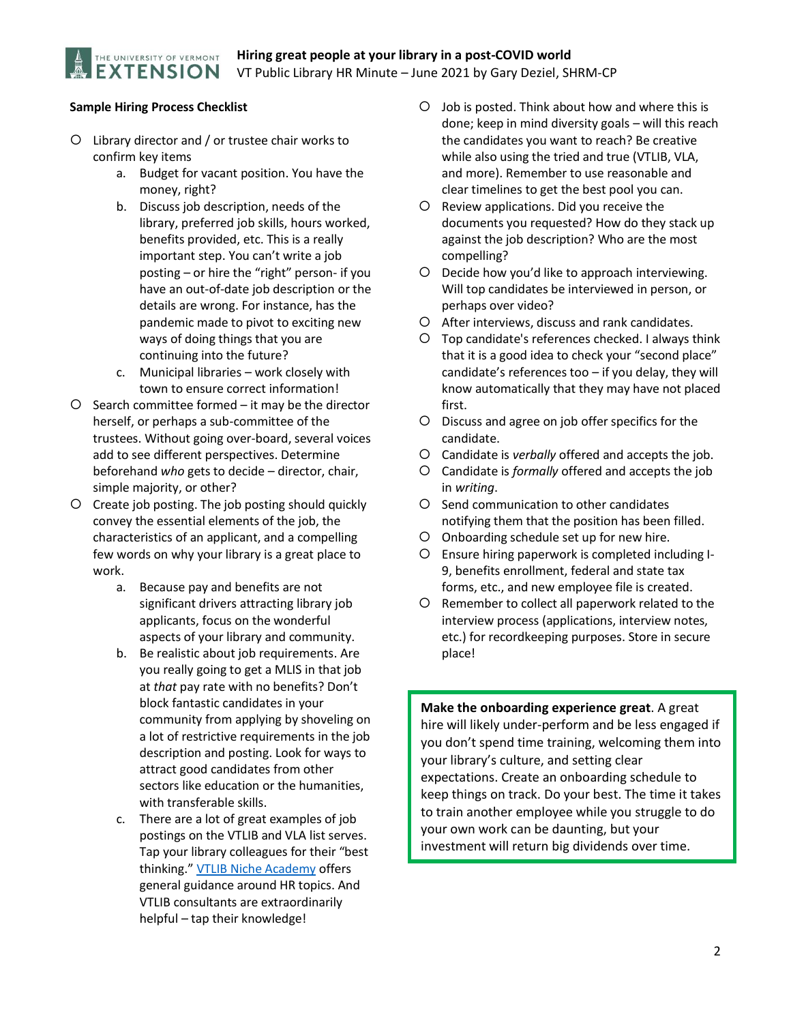# **Sample Hiring Process Checklist**

THE UNIVERSITY OF VERMONT **EXTENSION** 

- Library director and / or trustee chair works to confirm key items
	- a. Budget for vacant position. You have the money, right?
	- b. Discuss job description, needs of the library, preferred job skills, hours worked, benefits provided, etc. This is a really important step. You can't write a job posting – or hire the "right" person- if you have an out-of-date job description or the details are wrong. For instance, has the pandemic made to pivot to exciting new ways of doing things that you are continuing into the future?
	- c. Municipal libraries work closely with town to ensure correct information!
- $O$  Search committee formed it may be the director herself, or perhaps a sub-committee of the trustees. Without going over-board, several voices add to see different perspectives. Determine beforehand *who* gets to decide – director, chair, simple majority, or other?
- Create job posting. The job posting should quickly convey the essential elements of the job, the characteristics of an applicant, and a compelling few words on why your library is a great place to work.
	- a. Because pay and benefits are not significant drivers attracting library job applicants, focus on the wonderful aspects of your library and community.
	- b. Be realistic about job requirements. Are you really going to get a MLIS in that job at *that* pay rate with no benefits? Don't block fantastic candidates in your community from applying by shoveling on a lot of restrictive requirements in the job description and posting. Look for ways to attract good candidates from other sectors like education or the humanities, with transferable skills.
	- c. There are a lot of great examples of job postings on the VTLIB and VLA list serves. Tap your library colleagues for their "best thinking." [VTLIB Niche Academy](https://my.nicheacademy.com/fulllistofcoursestutorials?category=8809) offers general guidance around HR topics. And VTLIB consultants are extraordinarily helpful – tap their knowledge!
- O Job is posted. Think about how and where this is done; keep in mind diversity goals – will this reach the candidates you want to reach? Be creative while also using the tried and true (VTLIB, VLA, and more). Remember to use reasonable and clear timelines to get the best pool you can.
- O Review applications. Did you receive the documents you requested? How do they stack up against the job description? Who are the most compelling?
- O Decide how you'd like to approach interviewing. Will top candidates be interviewed in person, or perhaps over video?
- After interviews, discuss and rank candidates.
- Top candidate's references checked. I always think that it is a good idea to check your "second place" candidate's references too – if you delay, they will know automatically that they may have not placed first.
- Discuss and agree on job offer specifics for the candidate.
- Candidate is *verbally* offered and accepts the job.
- Candidate is *formally* offered and accepts the job in *writing*.
- O Send communication to other candidates notifying them that the position has been filled.
- Onboarding schedule set up for new hire.
- Ensure hiring paperwork is completed including I-9, benefits enrollment, federal and state tax forms, etc., and new employee file is created.
- O Remember to collect all paperwork related to the interview process (applications, interview notes, etc.) for recordkeeping purposes. Store in secure place!

**Make the onboarding experience great**. A great hire will likely under-perform and be less engaged if you don't spend time training, welcoming them into your library's culture, and setting clear expectations. Create an onboarding schedule to keep things on track. Do your best. The time it takes to train another employee while you struggle to do your own work can be daunting, but your investment will return big dividends over time.